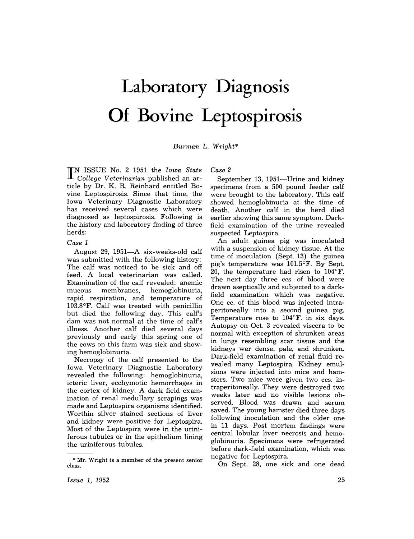## **Laboratory Diagnosis Of Bovine Leptospirosis**

*Burman* L. *Wright\** 

**IN** ISSUE No.2 1951 the *Iowa State College Veterinarian* published an article by Dr. K. R. Reinhard entitled Bovine Leptospirosis. Since that time, the Iowa Veterinary Diagnostic Laboratory has received several cases which were diagnosed as leptospirosis. Following is the history and laboratory finding of three herds:

## *Case 1*

August 29, 1951-A six-weeks-old calf was submitted with the following history: The calf was noticed to be sick and off feed. A local veterinarian was called. Examination of the calf revealed: anemic mucous membranes, hemoglobinuria, rapid respiration, and temperature of 103.8°F. Calf was treated with penicillin but died the following day. This calf's dam was not normal at the time of calf's illness. Another calf died several days previously and early this spring one of the cows on this farm was sick and showing hemoglobinuria.

Necropsy of the calf presented to the Iowa Veterinary Diagnostic Laboratory revealed the following: hemoglobinuria, icteric liver, ecchymotic hemorrhages in the cortex of kidney. A dark field examination of renal medullary scrapings was made and Leptospira organisms identified. Worthin silver stained sections of liver and kidney were positive for Leptospira. Most of the Leptospira were in the uriniferous tubules or in the epithelium lining the uriniferous tubules.

*Case 2* 

September 13, 1951-Urine and kidney specimens from a 500 pound feeder calf were brought to the laboratory. This calf showed hemoglobinuria at the time of death. Another calf in the herd died earlier showing this same symptom. Darkfield examination of the urine revealed suspected Leptospira.

An adult guinea pig was inoculated with a suspension of kidney tissue. At the time of inoculation (Sept. 13) the guinea pig's temperature was 101.5°F. By Sept. 20, the temperature had risen to 104°F. The next day three ccs. of blood were drawn aseptically and subjected to a darkfield examination which was negative. One cc. of this blood was injected intraperitoneally into a second guinea pig. Temperature rose to  $104^{\circ}$ F. in six days. Autopsy on Oct. 3 revealed viscera to be normal with exception of shrunken areas in lungs resembling scar tissue and the kidneys wer dense, pale, and shrunken. Dark-field examination of renal fluid revealed many Leptospira. Kidney emulsions were injected into mice and hamsters. Two mice were given two ccs. intraperitoneally. They were destroyed two weeks later and no visible lesions observed. Blood was drawn and serum saved. The young hamster died three days following inoculation and the older one in 11 days. Post mortem findings were central lobular liver necrosis and hemoglobinuria. Specimens were refrigerated before dark-field examination, which was negative for Leptospira.

On Sept. 28, one sick and one dead

*Issue* 1, 1952

<sup>\*</sup> Mr. Wright is a member of the present senior class.